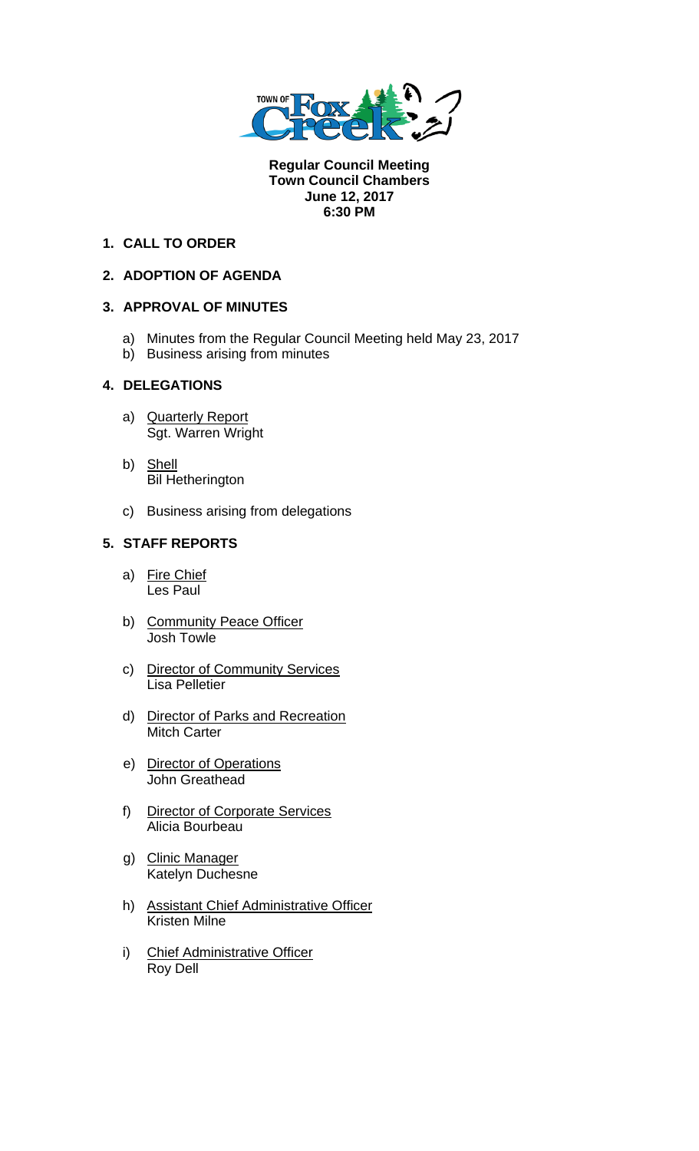

**Regular Council Meeting Town Council Chambers June 12, 2017 6:30 PM** 

## **1. CALL TO ORDER**

# **2. ADOPTION OF AGENDA**

## **3. APPROVAL OF MINUTES**

- a) Minutes from the Regular Council Meeting held May 23, 2017
- b) Business arising from minutes

## **4. DELEGATIONS**

- a) Quarterly Report Sgt. Warren Wright
- b) Shell Bil Hetherington
- c) Business arising from delegations

## **5. STAFF REPORTS**

- a) Fire Chief Les Paul
- b) Community Peace Officer Josh Towle
- c) Director of Community Services Lisa Pelletier
- d) Director of Parks and Recreation Mitch Carter
- e) Director of Operations John Greathead
- f) Director of Corporate Services Alicia Bourbeau
- g) Clinic Manager Katelyn Duchesne
- h) Assistant Chief Administrative Officer Kristen Milne
- i) Chief Administrative Officer Roy Dell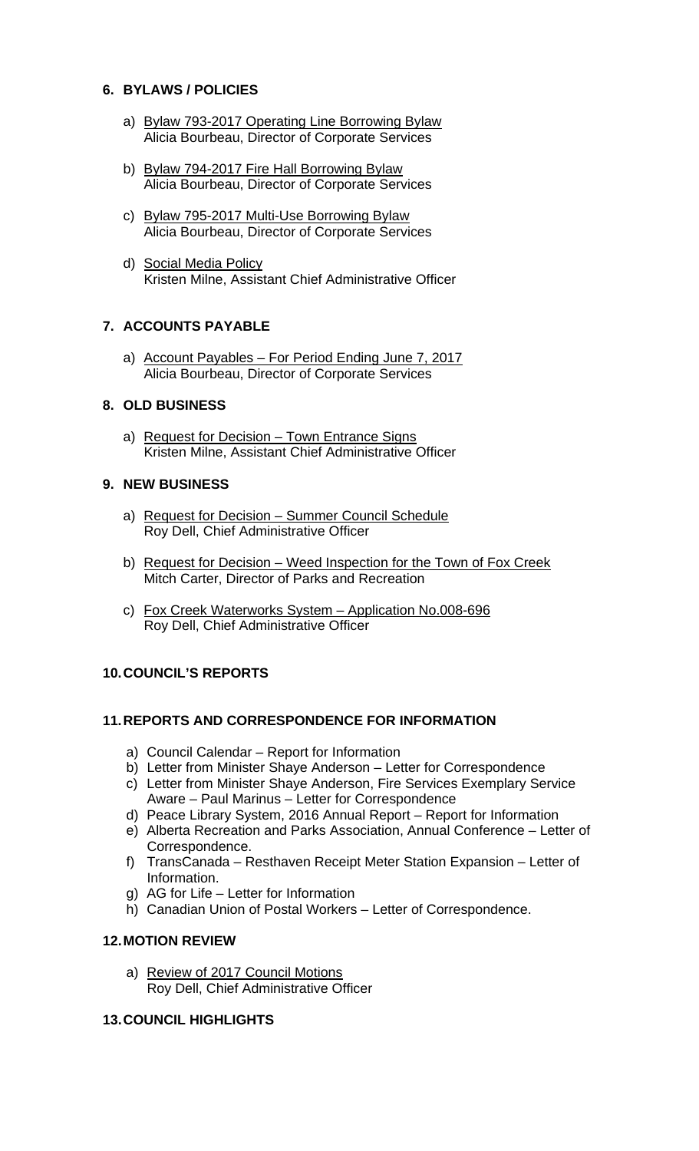## **6. BYLAWS / POLICIES**

- a) Bylaw 793-2017 Operating Line Borrowing Bylaw Alicia Bourbeau, Director of Corporate Services
- b) Bylaw 794-2017 Fire Hall Borrowing Bylaw Alicia Bourbeau, Director of Corporate Services
- c) Bylaw 795-2017 Multi-Use Borrowing Bylaw Alicia Bourbeau, Director of Corporate Services
- d) Social Media Policy Kristen Milne, Assistant Chief Administrative Officer

## **7. ACCOUNTS PAYABLE**

a) Account Payables – For Period Ending June 7, 2017 Alicia Bourbeau, Director of Corporate Services

# **8. OLD BUSINESS**

a) Request for Decision – Town Entrance Signs Kristen Milne, Assistant Chief Administrative Officer

#### **9. NEW BUSINESS**

- a) Request for Decision Summer Council Schedule Roy Dell, Chief Administrative Officer
- b) Request for Decision Weed Inspection for the Town of Fox Creek Mitch Carter, Director of Parks and Recreation
- c) Fox Creek Waterworks System Application No.008-696 Roy Dell, Chief Administrative Officer

## **10. COUNCIL'S REPORTS**

## **11. REPORTS AND CORRESPONDENCE FOR INFORMATION**

- a) Council Calendar Report for Information
- b) Letter from Minister Shaye Anderson Letter for Correspondence
- c) Letter from Minister Shaye Anderson, Fire Services Exemplary Service Aware – Paul Marinus – Letter for Correspondence
- d) Peace Library System, 2016 Annual Report Report for Information
- e) Alberta Recreation and Parks Association, Annual Conference Letter of Correspondence.
- f) TransCanada Resthaven Receipt Meter Station Expansion Letter of Information.
- g) AG for Life Letter for Information
- h) Canadian Union of Postal Workers Letter of Correspondence.

## **12. MOTION REVIEW**

a) Review of 2017 Council Motions Roy Dell, Chief Administrative Officer

#### **13. COUNCIL HIGHLIGHTS**